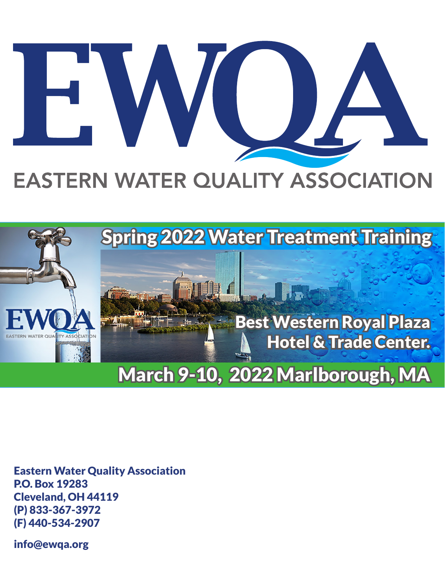

## **EASTERN WATER QUALITY ASSOCIATION**



### March 9-10, 2022 Marlborough, MA

Eastern Water Quality Association P.O. Box 19283 Cleveland, OH 44119 (P) 833-367-3972 (F) 440-534-2907

info@ewqa.org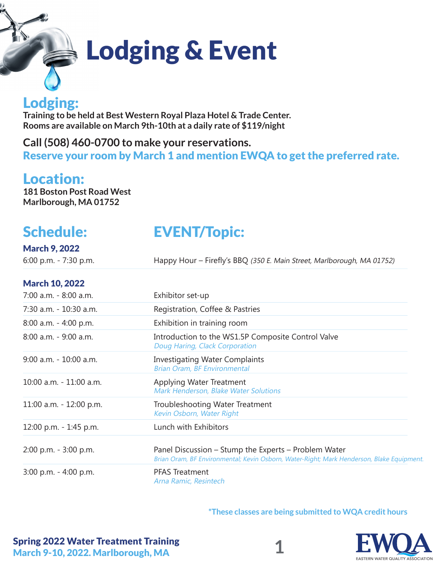# Lodging & Event

#### Lodging:

**Training to be held at Best Western Royal Plaza Hotel & Trade Center. Rooms are available on March 9th-10th at a daily rate of \$119/night** 

**Call (508) 460-0700 to make your reservations.**  Reserve your room by March 1 and mention EWQA to get the preferred rate.

#### Location:

**181 Boston Post Road West Marlborough, MA 01752**

#### Schedule: EVENT/Topic:

#### March 9, 2022

6:00 p.m. - 7:30 p.m. Happy Hour – Firefly's BBQ (350 E. Main Street, Marlborough, MA 01752)

#### March 10, 2022

| 7:00 a.m. - 8:00 a.m.       | Exhibitor set-up                                                                                                                                  |
|-----------------------------|---------------------------------------------------------------------------------------------------------------------------------------------------|
| 7:30 a.m. - 10:30 a.m.      | Registration, Coffee & Pastries                                                                                                                   |
| $8:00$ a.m. $-4:00$ p.m.    | Exhibition in training room                                                                                                                       |
| $8:00$ a.m. - 9:00 a.m.     | Introduction to the WS1.5P Composite Control Valve<br>Doug Haring, Clack Corporation                                                              |
| $9:00$ a.m. - $10:00$ a.m.  | <b>Investigating Water Complaints</b><br><b>Brian Oram, BF Environmental</b>                                                                      |
| $10:00$ a.m. - $11:00$ a.m. | Applying Water Treatment<br>Mark Henderson, Blake Water Solutions                                                                                 |
| 11:00 a.m. - 12:00 p.m.     | Troubleshooting Water Treatment<br>Kevin Osborn, Water Right                                                                                      |
| 12:00 p.m. - 1:45 p.m.      | Lunch with Exhibitors                                                                                                                             |
| $2:00$ p.m. - $3:00$ p.m.   | Panel Discussion – Stump the Experts – Problem Water<br>Brian Oram, BF Environmental; Kevin Osborn, Water-Right; Mark Henderson, Blake Equipment. |
| $3:00$ p.m. $-4:00$ p.m.    | <b>PFAS Treatment</b><br>Arna Ramic, Resintech                                                                                                    |

**\*These classes are being submitted to WQA credit hours**

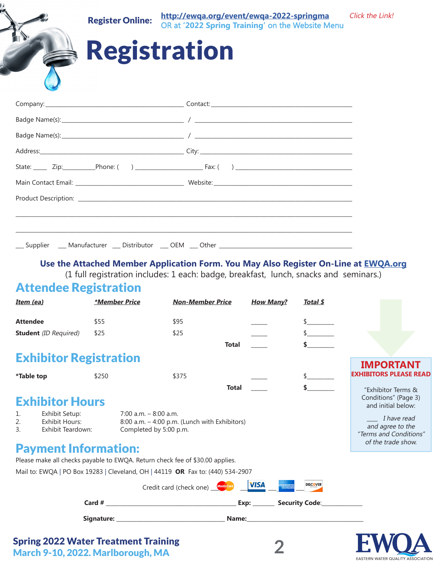| <b>Register Online:</b> | http://ewqa.org/event/ewqa-2022-springma<br>OR at '2022 Spring Training' on the Website Menu | Click the Link! |
|-------------------------|----------------------------------------------------------------------------------------------|-----------------|
|                         | <b>Registration</b>                                                                          |                 |
|                         |                                                                                              |                 |
|                         |                                                                                              |                 |
|                         |                                                                                              |                 |
|                         |                                                                                              |                 |
|                         |                                                                                              |                 |
|                         |                                                                                              |                 |
|                         |                                                                                              |                 |
|                         |                                                                                              |                 |
|                         |                                                                                              |                 |
|                         |                                                                                              |                 |

(1 full registration includes: 1 each: badge, breakfast, lunch, snacks and seminars.)

| <b>Attendee Registration</b> |  |  |
|------------------------------|--|--|
|                              |  |  |

| Item (ea)       |                                                                                                             | *Member Price |                                                    | <b>Non-Member Price</b>                       |              | <b>How Many?</b> |                            | Total \$                       |                                                           |
|-----------------|-------------------------------------------------------------------------------------------------------------|---------------|----------------------------------------------------|-----------------------------------------------|--------------|------------------|----------------------------|--------------------------------|-----------------------------------------------------------|
| <b>Attendee</b> |                                                                                                             | \$55          |                                                    | \$95                                          |              |                  |                            |                                |                                                           |
|                 | <b>Student</b> (ID Required)                                                                                | \$25          |                                                    | \$25                                          |              |                  |                            |                                |                                                           |
|                 |                                                                                                             |               |                                                    |                                               | <b>Total</b> |                  |                            |                                |                                                           |
|                 | <b>Exhibitor Registration</b>                                                                               |               |                                                    |                                               |              |                  |                            |                                | <b>IMPORTANT</b>                                          |
| *Table top      |                                                                                                             | \$250         |                                                    | \$375                                         |              |                  |                            |                                | <b>EXHIBITORS PLEASE READ</b>                             |
|                 |                                                                                                             |               |                                                    |                                               | <b>Total</b> |                  |                            |                                | "Exhibitor Terms &                                        |
|                 | <b>Exhibitor Hours</b>                                                                                      |               |                                                    |                                               |              |                  |                            |                                | Conditions" (Page 3)<br>and initial below:                |
| 2.<br>3.        | Exhibit Setup:<br>Exhibit Hours:<br>Exhibit Teardown:                                                       |               | $7:00$ a.m. $-8:00$ a.m.<br>Completed by 5:00 p.m. | 8:00 a.m. - 4:00 p.m. (Lunch with Exhibitors) |              |                  |                            |                                | I have read<br>and agree to the<br>"Terms and Conditions" |
|                 | <b>Payment Information:</b><br>Please make all checks payable to EWQA. Return check fee of \$30.00 applies. |               |                                                    |                                               |              |                  |                            |                                | of the trade show.                                        |
|                 | Mail to: EWQA   PO Box 19283   Cleveland, OH   44119 OR Fax to: (440) 534-2907                              |               |                                                    |                                               |              |                  |                            |                                |                                                           |
|                 |                                                                                                             |               |                                                    | Credit card (check one) Mastercard            |              | <b>VISA</b>      | <b>AMERICAN</b><br>EXPRESS | <b>DISCOVER</b>                |                                                           |
|                 |                                                                                                             |               |                                                    | Card #                                        |              |                  |                            | Exp: Security Code: __________ |                                                           |
|                 |                                                                                                             |               |                                                    |                                               |              |                  |                            |                                |                                                           |
|                 | <b>Spring 2022 Water Treatment Training</b><br>March 9-10, 2022. Marlborough, MA                            |               |                                                    |                                               |              |                  |                            |                                |                                                           |



EASTERN WATER QUALITY ASSOCIATION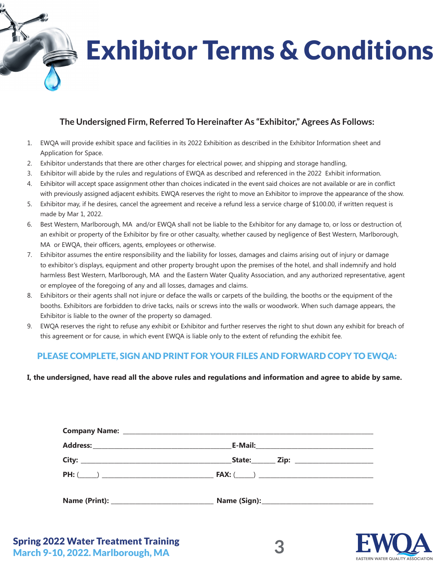Exhibitor Terms & Conditions

#### **The Undersigned Firm, Referred To Hereinafter As "Exhibitor," Agrees As Follows:**

- 1. EWQA will provide exhibit space and facilities in its 2022 Exhibition as described in the Exhibitor Information sheet and Application for Space.
- 2. Exhibitor understands that there are other charges for electrical power, and shipping and storage handling,
- 3. Exhibitor will abide by the rules and regulations of EWQA as described and referenced in the 2022 Exhibit information.
- 4. Exhibitor will accept space assignment other than choices indicated in the event said choices are not available or are in conflict with previously assigned adjacent exhibits. EWQA reserves the right to move an Exhibitor to improve the appearance of the show.
- 5. Exhibitor may, if he desires, cancel the agreement and receive a refund less a service charge of \$100.00, if written request is made by Mar 1, 2022.
- 6. Best Western, Marlborough, MA and/or EWQA shall not be liable to the Exhibitor for any damage to, or loss or destruction of, an exhibit or property of the Exhibitor by fire or other casualty, whether caused by negligence of Best Western, Marlborough, MA or EWQA, their officers, agents, employees or otherwise.
- 7. Exhibitor assumes the entire responsibility and the liability for losses, damages and claims arising out of injury or damage to exhibitor's displays, equipment and other property brought upon the premises of the hotel, and shall indemnify and hold harmless Best Western, Marlborough, MA and the Eastern Water Quality Association, and any authorized representative, agent or employee of the foregoing of any and all losses, damages and claims.
- 8. Exhibitors or their agents shall not injure or deface the walls or carpets of the building, the booths or the equipment of the booths. Exhibitors are forbidden to drive tacks, nails or screws into the walls or woodwork. When such damage appears, the Exhibitor is liable to the owner of the property so damaged.
- 9. EWQA reserves the right to refuse any exhibit or Exhibitor and further reserves the right to shut down any exhibit for breach of this agreement or for cause, in which event EWQA is liable only to the extent of refunding the exhibit fee.

#### PLEASE COMPLETE, SIGN AND PRINT FOR YOUR FILES AND FORWARD COPY TO EWQA:

**I, the undersigned, have read all the above rules and regulations and information and agree to abide by same.**

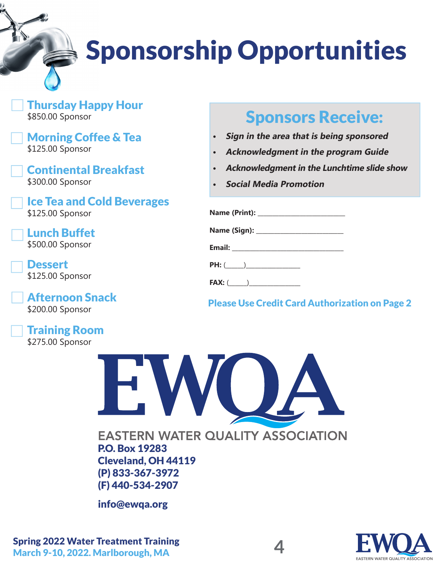# Sponsorship Opportunities

Thursday Happy Hour \$850.00 Sponsor

Morning Coffee & Tea \$125.00 Sponsor

Continental Breakfast \$300.00 Sponsor

Ice Tea and Cold Beverages \$125.00 Sponsor

Lunch Buffet \$500.00 Sponsor

**Dessert** \$125.00 Sponsor

Afternoon Snack \$200.00 Sponsor

Training Room \$275.00 Sponsor

### Sponsors Receive:

- **• Sign in the area that is being sponsored**
- **• Acknowledgment in the program Guide**
- **• Acknowledgment in the Lunchtime slide show**
- **• Social Media Promotion**

|        | $PH: (\_\_)$ |
|--------|--------------|
| FAX: ( |              |

#### Please Use Credit Card Authorization on Page 2



**EASTERN WATER QUALITY ASSOCIATION** P.O. Box 19283 Cleveland, OH 44119 (P) 833-367-3972 (F) 440-534-2907

info@ewqa.org

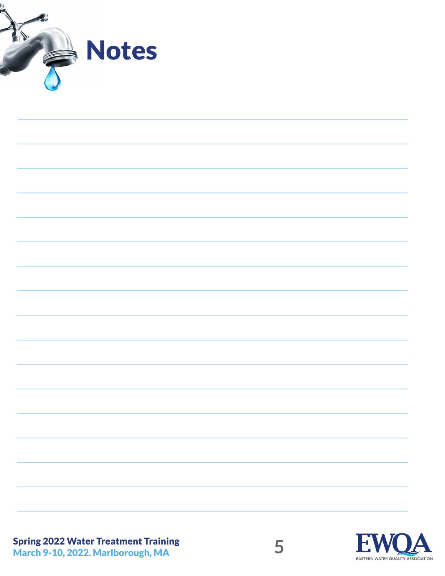

|  | <u> 1989 - Andrea Santana, amerikana amerikana amerikana amerikana amerikana amerikana amerikana amerikana amerika</u> |
|--|------------------------------------------------------------------------------------------------------------------------|



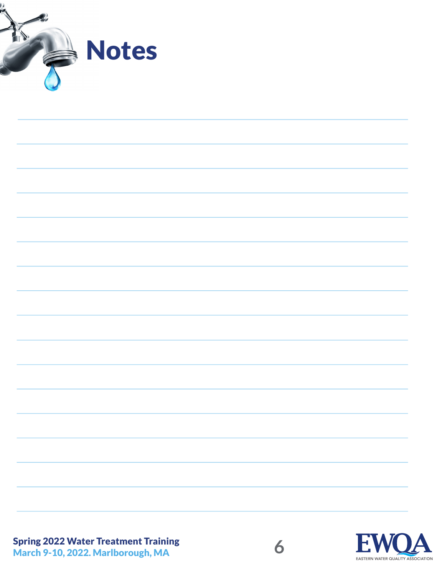



Spring 2022 Water Treatment Training March 9-10, 2022. Marlborough, MA **6**